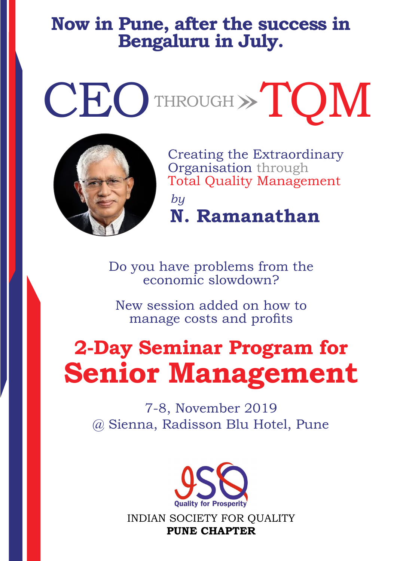# **Now in Pune, after the success in Bengaluru in July.**

CEOTHROUGH >> TOM



Creating the Extraordinary Organisation through Total Quality Management *by* **N. Ramanathan**

Do you have problems from the economic slowdown?

New session added on how to manage costs and profits

# **2-Day Seminar Program for Senior Management**

7-8, November 2019 @ Sienna, Radisson Blu Hotel, Pune



INDIAN SOCIETY FOR QUALITY **PUNE CHAPTER**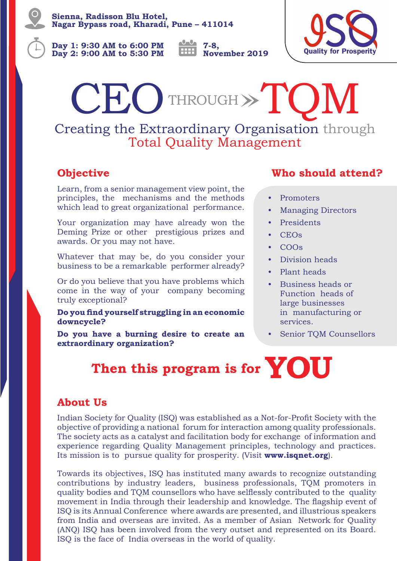**Sienna, Radisson Blu Hotel, Nagar Bypass road, Kharadi, Pune – 411014**

**Day 1: 9:30 AM to 6:00 PM Day 2: 9:00 AM to 5:30 PM** **7-8, November 2019**



Creating the Extraordinary Organisation through CEO THROUGH > TOM

Total Quality Management

# **Objective**

Learn, from a senior management view point, the principles, the mechanisms and the methods which lead to great organizational performance.

Your organization may have already won the Deming Prize or other prestigious prizes and awards. Or you may not have.

Whatever that may be, do you consider your business to be a remarkable performer already?

Or do you believe that you have problems which come in the way of your company becoming truly exceptional?

#### **Do you find yourself struggling in an economic downcycle?**

**Do you have a burning desire to create an extraordinary organization?**

## **Who should attend?**

- Promoters
- Managing Directors
- Presidents
- CEOs
- COOs
- Division heads
- Plant heads
- Business heads or Function heads of large businesses in manufacturing or services.
- Senior TQM Counsellors

# **Then this program is for YOU**

## **About Us**

Indian Society for Quality (ISQ) was established as a Not-for-Profit Society with the objective of providing a national forum for interaction among quality professionals. The society acts as a catalyst and facilitation body for exchange of information and experience regarding Quality Management principles, technology and practices. Its mission is to pursue quality for prosperity. (Visit **www.isqnet.org**).

Towards its objectives, ISQ has instituted many awards to recognize outstanding contributions by industry leaders, business professionals, TQM promoters in quality bodies and TQM counsellors who have selflessly contributed to the quality movement in India through their leadership and knowledge. The flagship event of ISQ is its Annual Conference where awards are presented, and illustrious speakers from India and overseas are invited. As a member of Asian Network for Quality (ANQ) ISQ has been involved from the very outset and represented on its Board. ISQ is the face of India overseas in the world of quality.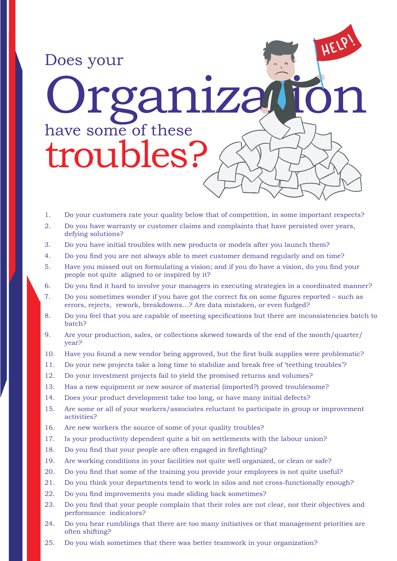

- 1. Do your customers rate your quality below that of competition, in some important respects?
- 2. Do you have warranty or customer claims and complaints that have persisted over years, defying solutions?
- 3. Do you have initial troubles with new products or models after you launch them?
- 4. Do you find you are not always able to meet customer demand regularly and on time?
- 5. Have you missed out on formulating a vision; and if you do have a vision, do you find your people not quite aligned to or inspired by it?
- 6. Do you find it hard to involve your managers in executing strategies in a coordinated manner?
- 7. Do you sometimes wonder if you have got the correct fix on some figures reported such as errors, rejects, rework, breakdowns…? Are data mistaken, or even fudged?
- 8. Do you feel that you are capable of meeting specifications but there are inconsistencies batch to batch?
- 9. Are your production, sales, or collections skewed towards of the end of the month/quarter/ year?
- 10. Have you found a new vendor being approved, but the first bulk supplies were problematic?
- 11. Do your new projects take a long time to stabilize and break free of 'teething troubles'?
- 12. Do your investment projects fail to yield the promised returns and volumes?
- 13. Has a new equipment or new source of material (imported?) proved troublesome?
- 14. Does your product development take too long, or have many initial defects?
- 15. Are some or all of your workers/associates reluctant to participate in group or improvement activities?
- 16. Are new workers the source of some of your quality troubles?
- 17. Is your productivity dependent quite a bit on settlements with the labour union?
- 18. Do you find that your people are often engaged in firefighting?
- 19. Are working conditions in your facilities not quite well organized, or clean or safe?
- 20. Do you find that some of the training you provide your employees is not quite useful?
- 21. Do you think your departments tend to work in silos and not cross-functionally enough?
- 22. Do you find improvements you made sliding back sometimes?
- 23. Do you find that your people complain that their roles are not clear, nor their objectives and performance indicators?
- 24. Do you hear rumblings that there are too many initiatives or that management priorities are often shifting?
- 25. Do you wish sometimes that there was better teamwork in your organization?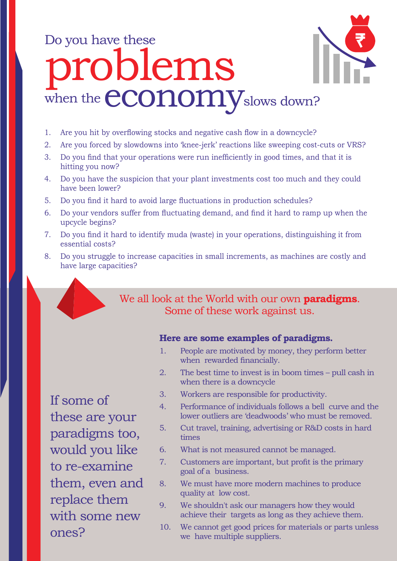# Do you have these roblems when the **economy** slows down?



- 2. Are you forced by slowdowns into 'knee-jerk' reactions like sweeping cost-cuts or VRS?
- 3. Do you find that your operations were run inefficiently in good times, and that it is hitting you now?
- 4. Do you have the suspicion that your plant investments cost too much and they could have been lower?
- 5. Do you find it hard to avoid large fluctuations in production schedules?
- 6. Do your vendors suffer from fluctuating demand, and find it hard to ramp up when the upcycle begins?
- 7. Do you find it hard to identify muda (waste) in your operations, distinguishing it from essential costs?
- 8. Do you struggle to increase capacities in small increments, as machines are costly and have large capacities?

## We all look at the World with our own **paradigms**. Some of these work against us.

### **Here are some examples of paradigms.**

- 1. People are motivated by money, they perform better when rewarded financially.
- 2. The best time to invest is in boom times pull cash in when there is a downcycle
- 3. Workers are responsible for productivity.
- 4. Performance of individuals follows a bell curve and the lower outliers are 'deadwoods' who must be removed.
- 5. Cut travel, training, advertising or R&D costs in hard times
- 6. What is not measured cannot be managed.
- 7. Customers are important, but profit is the primary goal of a business.
- 8. We must have more modern machines to produce quality at low cost.
- 9. We shouldn't ask our managers how they would achieve their targets as long as they achieve them.
- 10. We cannot get good prices for materials or parts unless we have multiple suppliers.

If some of these are your paradigms too, would you like to re-examine them, even and replace them with some new ones?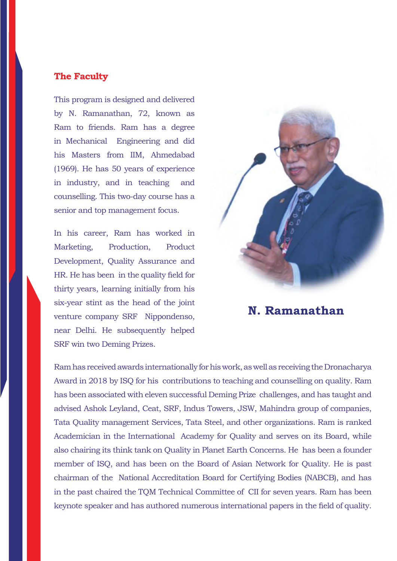### **The Faculty**

This program is designed and delivered by N. Ramanathan, 72, known as Ram to friends. Ram has a degree in Mechanical Engineering and did his Masters from IIM, Ahmedabad (1969). He has 50 years of experience in industry, and in teaching and counselling. This two-day course has a senior and top management focus.

In his career, Ram has worked in Marketing, Production, Product Development, Quality Assurance and HR. He has been in the quality field for thirty years, learning initially from his six-year stint as the head of the joint venture company SRF Nippondenso, near Delhi. He subsequently helped SRF win two Deming Prizes.



**N. Ramanathan**

Ram has received awards internationally for his work, as well as receiving the Dronacharya Award in 2018 by ISQ for his contributions to teaching and counselling on quality. Ram has been associated with eleven successful Deming Prize challenges, and has taught and advised Ashok Leyland, Ceat, SRF, Indus Towers, JSW, Mahindra group of companies, Tata Quality management Services, Tata Steel, and other organizations. Ram is ranked Academician in the International Academy for Quality and serves on its Board, while also chairing its think tank on Quality in Planet Earth Concerns. He has been a founder member of ISQ, and has been on the Board of Asian Network for Quality. He is past chairman of the National Accreditation Board for Certifying Bodies (NABCB), and has in the past chaired the TQM Technical Committee of CII for seven years. Ram has been keynote speaker and has authored numerous international papers in the field of quality.